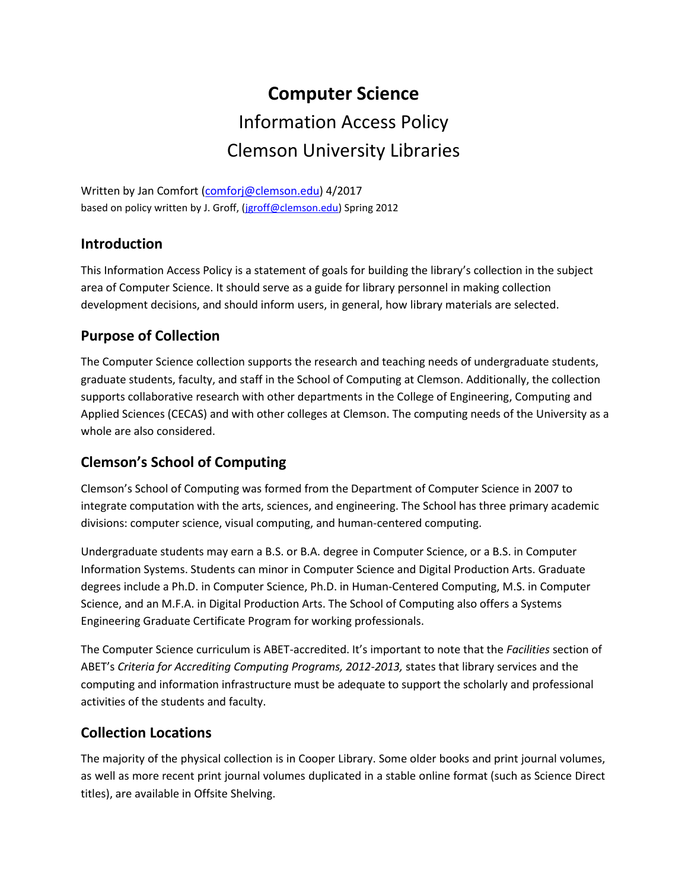# **Computer Science**  Information Access Policy Clemson University Libraries

Written by Jan Comfort [\(comforj@clemson.edu\)](mailto:comforj@clemson.edu) 4/2017 based on policy written by J. Groff, [\(jgroff@clemson.edu\)](mailto:jgroff@clemson.edu) Spring 2012

## **Introduction**

This Information Access Policy is a statement of goals for building the library's collection in the subject area of Computer Science. It should serve as a guide for library personnel in making collection development decisions, and should inform users, in general, how library materials are selected.

# **Purpose of Collection**

The Computer Science collection supports the research and teaching needs of undergraduate students, graduate students, faculty, and staff in the School of Computing at Clemson. Additionally, the collection supports collaborative research with other departments in the College of Engineering, Computing and Applied Sciences (CECAS) and with other colleges at Clemson. The computing needs of the University as a whole are also considered.

# **Clemson's School of Computing**

Clemson's School of Computing was formed from the Department of Computer Science in 2007 to integrate computation with the arts, sciences, and engineering. The School has three primary academic divisions: computer science, visual computing, and human-centered computing.

Undergraduate students may earn a B.S. or B.A. degree in Computer Science, or a B.S. in Computer Information Systems. Students can minor in Computer Science and Digital Production Arts. Graduate degrees include a Ph.D. in Computer Science, Ph.D. in Human-Centered Computing, M.S. in Computer Science, and an M.F.A. in Digital Production Arts. The School of Computing also offers a Systems Engineering Graduate Certificate Program for working professionals.

The Computer Science curriculum is ABET-accredited. It's important to note that the *Facilities* section of ABET's *Criteria for Accrediting Computing Programs, 2012-2013,* states that library services and the computing and information infrastructure must be adequate to support the scholarly and professional activities of the students and faculty.

# **Collection Locations**

The majority of the physical collection is in Cooper Library. Some older books and print journal volumes, as well as more recent print journal volumes duplicated in a stable online format (such as Science Direct titles), are available in Offsite Shelving.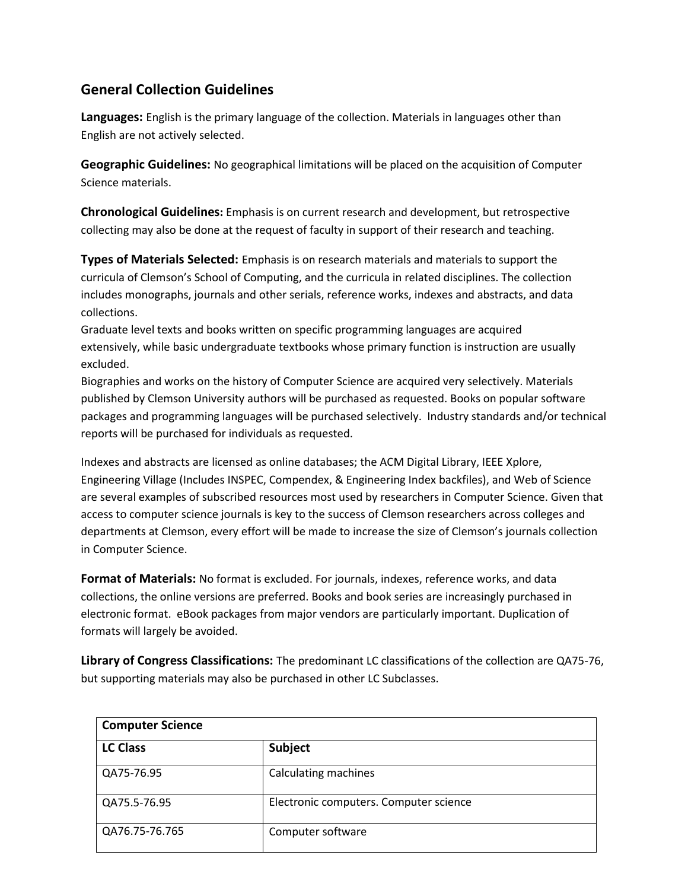# **General Collection Guidelines**

**Languages:** English is the primary language of the collection. Materials in languages other than English are not actively selected.

**Geographic Guidelines:** No geographical limitations will be placed on the acquisition of Computer Science materials.

**Chronological Guidelines:** Emphasis is on current research and development, but retrospective collecting may also be done at the request of faculty in support of their research and teaching.

**Types of Materials Selected:** Emphasis is on research materials and materials to support the curricula of Clemson's School of Computing, and the curricula in related disciplines. The collection includes monographs, journals and other serials, reference works, indexes and abstracts, and data collections.

Graduate level texts and books written on specific programming languages are acquired extensively, while basic undergraduate textbooks whose primary function is instruction are usually excluded.

Biographies and works on the history of Computer Science are acquired very selectively. Materials published by Clemson University authors will be purchased as requested. Books on popular software packages and programming languages will be purchased selectively. Industry standards and/or technical reports will be purchased for individuals as requested.

Indexes and abstracts are licensed as online databases; the ACM Digital Library, IEEE Xplore, Engineering Village (Includes INSPEC, Compendex, & Engineering Index backfiles), and Web of Science are several examples of subscribed resources most used by researchers in Computer Science. Given that access to computer science journals is key to the success of Clemson researchers across colleges and departments at Clemson, every effort will be made to increase the size of Clemson's journals collection in Computer Science.

**Format of Materials:** No format is excluded. For journals, indexes, reference works, and data collections, the online versions are preferred. Books and book series are increasingly purchased in electronic format. eBook packages from major vendors are particularly important. Duplication of formats will largely be avoided.

**Library of Congress Classifications:** The predominant LC classifications of the collection are QA75-76, but supporting materials may also be purchased in other LC Subclasses.

| <b>Computer Science</b> |                                        |  |
|-------------------------|----------------------------------------|--|
| <b>LC Class</b>         | Subject                                |  |
| QA75-76.95              | Calculating machines                   |  |
| QA75.5-76.95            | Electronic computers. Computer science |  |
| QA76.75-76.765          | Computer software                      |  |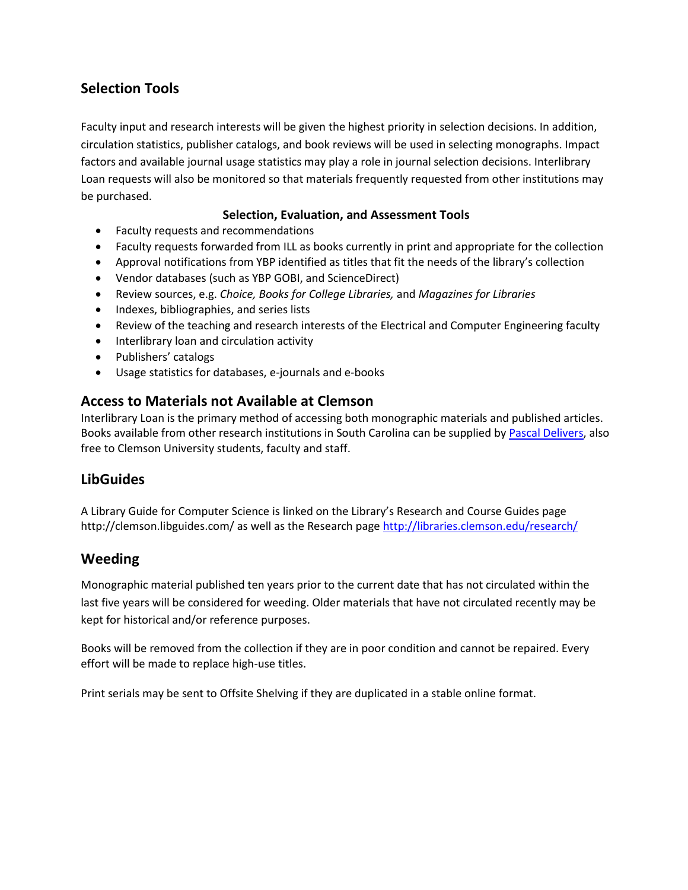# **Selection Tools**

Faculty input and research interests will be given the highest priority in selection decisions. In addition, circulation statistics, publisher catalogs, and book reviews will be used in selecting monographs. Impact factors and available journal usage statistics may play a role in journal selection decisions. Interlibrary Loan requests will also be monitored so that materials frequently requested from other institutions may be purchased.

#### **Selection, Evaluation, and Assessment Tools**

- Faculty requests and recommendations
- Faculty requests forwarded from ILL as books currently in print and appropriate for the collection
- Approval notifications from YBP identified as titles that fit the needs of the library's collection
- Vendor databases (such as YBP GOBI, and ScienceDirect)
- Review sources, e.g. *Choice, Books for College Libraries,* and *Magazines for Libraries*
- Indexes, bibliographies, and series lists
- Review of the teaching and research interests of the Electrical and Computer Engineering faculty
- Interlibrary loan and circulation activity
- Publishers' catalogs
- Usage statistics for databases, e-journals and e-books

## **Access to Materials not Available at Clemson**

Interlibrary Loan is the primary method of accessing both monographic materials and published articles. Books available from other research institutions in South Carolina can be supplied by [Pascal Delivers,](http://www.clemson.edu/library/interlib_loan/pascal.html) also free to Clemson University students, faculty and staff.

## **LibGuides**

A Library Guide for Computer Science is linked on the Library's Research and Course Guides page http://clemson.libguides.com/ as well as the Research page<http://libraries.clemson.edu/research/>

## **Weeding**

Monographic material published ten years prior to the current date that has not circulated within the last five years will be considered for weeding. Older materials that have not circulated recently may be kept for historical and/or reference purposes.

Books will be removed from the collection if they are in poor condition and cannot be repaired. Every effort will be made to replace high-use titles.

Print serials may be sent to Offsite Shelving if they are duplicated in a stable online format.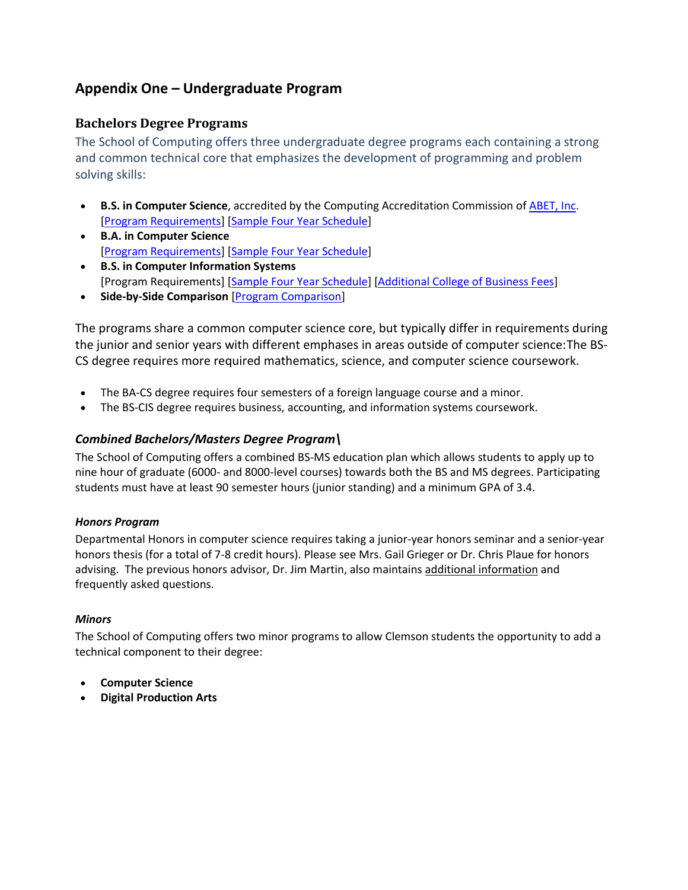# **Appendix One – Undergraduate Program**

#### **Bachelors Degree Programs**

The School of Computing offers three undergraduate degree programs each containing a strong and common technical core that emphasizes the development of programming and problem solving skills:

- **B.S. in Computer Science**, accredited by the Computing Accreditation Commission of [ABET, Inc.](http://www.abet.org/) [\[Program Requirements\]](http://www.clemson.edu/cecas/departments/computing/files/undergraduates/curricula/BS_CS_by_area.pdf) [\[Sample Four Year Schedule\]](http://www.clemson.edu/cecas/departments/computing/files/undergraduates/curricula/AY1617/BS-CS-AY1617.pdf)
- **B.A. in Computer Science** [\[Program Requirements\]](http://www.clemson.edu/cecas/departments/computing/files/undergraduates/curricula/BA_CS_by_area.pdf) [\[Sample Four Year Schedule\]](http://www.clemson.edu/cecas/departments/computing/files/undergraduates/curricula/AY1617/BA-CS-AY1617.pdf)
- **B.S. in Computer Information Systems** [Program Requirements] [\[Sample Four Year Schedule\]](http://www.clemson.edu/cecas/departments/computing/files/undergraduates/curricula/AY1617/BS-CIS-AY1617.pdf) [\[Additional College of Business Fees\]](http://www.clemson.edu/cbbs/students/fees.html)
- **Side-by-Side Comparison** [\[Program Comparison\]](http://www.clemson.edu/cecas/departments/computing/files/undergraduates/curricula/AY1617/Comparisons-AY1617.pdf)

The programs share a common computer science core, but typically differ in requirements during the junior and senior years with different emphases in areas outside of computer science:The BS-CS degree requires more required mathematics, science, and computer science coursework.

- The BA-CS degree requires four semesters of a foreign language course and a minor.
- The BS-CIS degree requires business, accounting, and information systems coursework.

#### *Combined Bachelors/Masters Degree Program\*

The School of Computing offers a combined BS-MS education plan which allows students to apply up to nine hour of graduate (6000- and 8000-level courses) towards both the BS and MS degrees. Participating students must have at least 90 semester hours (junior standing) and a minimum GPA of 3.4.

#### *Honors Program*

Departmental Honors in computer science requires taking a junior-year honors seminar and a senior-year honors thesis (for a total of 7-8 credit hours). Please see Mrs. Gail Grieger or Dr. Chris Plaue for honors advising. The previous honors advisor, Dr. Jim Martin, also maintains [additional information](http://people.cs.clemson.edu/~jmarty/HonorsProgram/HonorsProgram.html) and frequently asked questions.

#### *Minors*

The School of Computing offers two minor programs to allow Clemson students the opportunity to add a technical component to their degree:

- **Computer Science**
- **Digital Production Arts**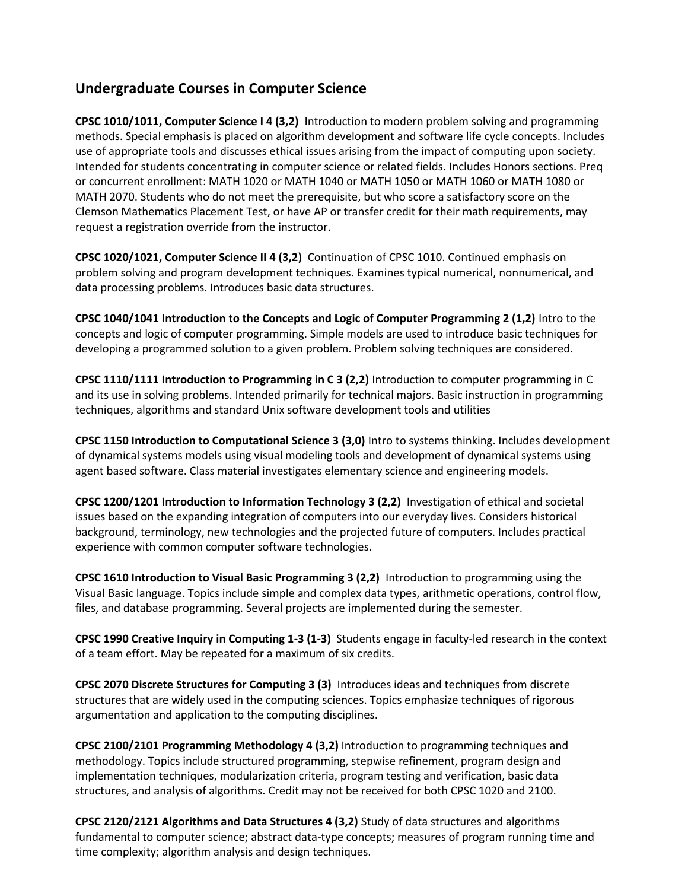# **Undergraduate Courses in Computer Science**

**CPSC 1010/1011, Computer Science I 4 (3,2)** Introduction to modern problem solving and programming methods. Special emphasis is placed on algorithm development and software life cycle concepts. Includes use of appropriate tools and discusses ethical issues arising from the impact of computing upon society. Intended for students concentrating in computer science or related fields. Includes Honors sections. Preq or concurrent enrollment: MATH 1020 or MATH 1040 or MATH 1050 or MATH 1060 or MATH 1080 or MATH 2070. Students who do not meet the prerequisite, but who score a satisfactory score on the Clemson Mathematics Placement Test, or have AP or transfer credit for their math requirements, may request a registration override from the instructor.

**CPSC 1020/1021, Computer Science II 4 (3,2)** Continuation of CPSC 1010. Continued emphasis on problem solving and program development techniques. Examines typical numerical, nonnumerical, and data processing problems. Introduces basic data structures.

**CPSC 1040/1041 Introduction to the Concepts and Logic of Computer Programming 2 (1,2)** Intro to the concepts and logic of computer programming. Simple models are used to introduce basic techniques for developing a programmed solution to a given problem. Problem solving techniques are considered.

**CPSC 1110/1111 Introduction to Programming in C 3 (2,2)** Introduction to computer programming in C and its use in solving problems. Intended primarily for technical majors. Basic instruction in programming techniques, algorithms and standard Unix software development tools and utilities

**CPSC 1150 Introduction to Computational Science 3 (3,0)** Intro to systems thinking. Includes development of dynamical systems models using visual modeling tools and development of dynamical systems using agent based software. Class material investigates elementary science and engineering models.

**CPSC 1200/1201 Introduction to Information Technology 3 (2,2)** Investigation of ethical and societal issues based on the expanding integration of computers into our everyday lives. Considers historical background, terminology, new technologies and the projected future of computers. Includes practical experience with common computer software technologies.

**CPSC 1610 Introduction to Visual Basic Programming 3 (2,2)** Introduction to programming using the Visual Basic language. Topics include simple and complex data types, arithmetic operations, control flow, files, and database programming. Several projects are implemented during the semester.

**CPSC 1990 Creative Inquiry in Computing 1-3 (1-3)** Students engage in faculty-led research in the context of a team effort. May be repeated for a maximum of six credits.

**CPSC 2070 Discrete Structures for Computing 3 (3)** Introduces ideas and techniques from discrete structures that are widely used in the computing sciences. Topics emphasize techniques of rigorous argumentation and application to the computing disciplines.

**CPSC 2100/2101 Programming Methodology 4 (3,2)** Introduction to programming techniques and methodology. Topics include structured programming, stepwise refinement, program design and implementation techniques, modularization criteria, program testing and verification, basic data structures, and analysis of algorithms. Credit may not be received for both CPSC 1020 and 2100.

**CPSC 2120/2121 Algorithms and Data Structures 4 (3,2)** Study of data structures and algorithms fundamental to computer science; abstract data-type concepts; measures of program running time and time complexity; algorithm analysis and design techniques.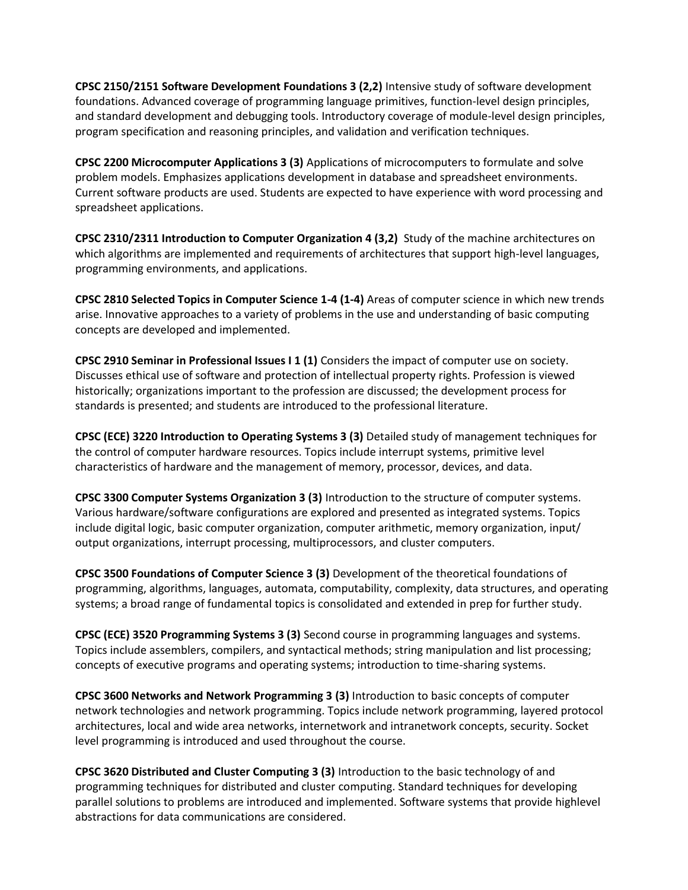**CPSC 2150/2151 Software Development Foundations 3 (2,2)** Intensive study of software development foundations. Advanced coverage of programming language primitives, function-level design principles, and standard development and debugging tools. Introductory coverage of module-level design principles, program specification and reasoning principles, and validation and verification techniques.

**CPSC 2200 Microcomputer Applications 3 (3)** Applications of microcomputers to formulate and solve problem models. Emphasizes applications development in database and spreadsheet environments. Current software products are used. Students are expected to have experience with word processing and spreadsheet applications.

**CPSC 2310/2311 Introduction to Computer Organization 4 (3,2)** Study of the machine architectures on which algorithms are implemented and requirements of architectures that support high-level languages, programming environments, and applications.

**CPSC 2810 Selected Topics in Computer Science 1-4 (1-4)** Areas of computer science in which new trends arise. Innovative approaches to a variety of problems in the use and understanding of basic computing concepts are developed and implemented.

**CPSC 2910 Seminar in Professional Issues I 1 (1)** Considers the impact of computer use on society. Discusses ethical use of software and protection of intellectual property rights. Profession is viewed historically; organizations important to the profession are discussed; the development process for standards is presented; and students are introduced to the professional literature.

**CPSC (ECE) 3220 Introduction to Operating Systems 3 (3)** Detailed study of management techniques for the control of computer hardware resources. Topics include interrupt systems, primitive level characteristics of hardware and the management of memory, processor, devices, and data.

**CPSC 3300 Computer Systems Organization 3 (3)** Introduction to the structure of computer systems. Various hardware/software configurations are explored and presented as integrated systems. Topics include digital logic, basic computer organization, computer arithmetic, memory organization, input/ output organizations, interrupt processing, multiprocessors, and cluster computers.

**CPSC 3500 Foundations of Computer Science 3 (3)** Development of the theoretical foundations of programming, algorithms, languages, automata, computability, complexity, data structures, and operating systems; a broad range of fundamental topics is consolidated and extended in prep for further study.

**CPSC (ECE) 3520 Programming Systems 3 (3)** Second course in programming languages and systems. Topics include assemblers, compilers, and syntactical methods; string manipulation and list processing; concepts of executive programs and operating systems; introduction to time-sharing systems.

**CPSC 3600 Networks and Network Programming 3 (3)** Introduction to basic concepts of computer network technologies and network programming. Topics include network programming, layered protocol architectures, local and wide area networks, internetwork and intranetwork concepts, security. Socket level programming is introduced and used throughout the course.

**CPSC 3620 Distributed and Cluster Computing 3 (3)** Introduction to the basic technology of and programming techniques for distributed and cluster computing. Standard techniques for developing parallel solutions to problems are introduced and implemented. Software systems that provide highlevel abstractions for data communications are considered.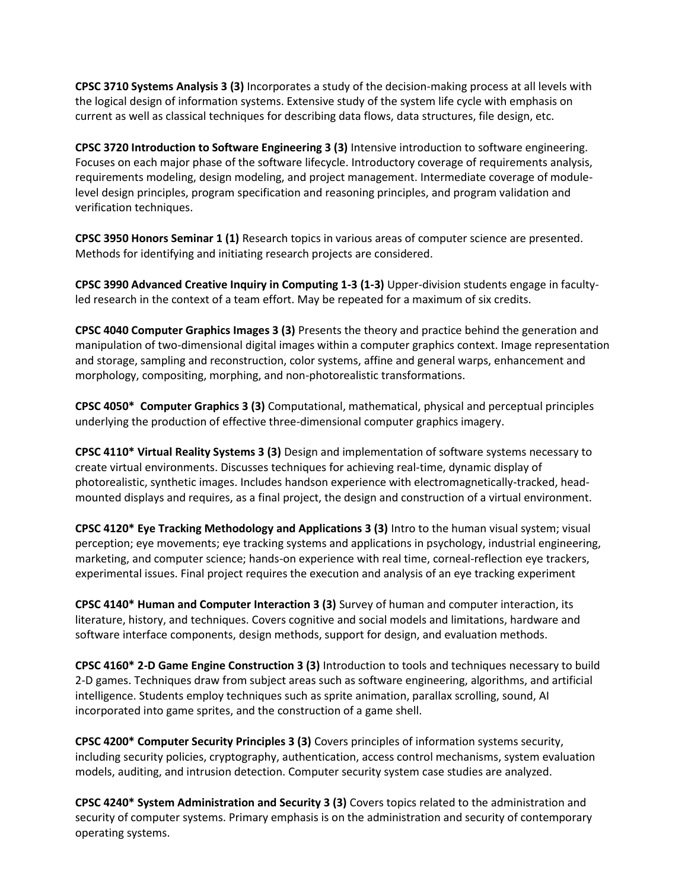**CPSC 3710 Systems Analysis 3 (3)** Incorporates a study of the decision-making process at all levels with the logical design of information systems. Extensive study of the system life cycle with emphasis on current as well as classical techniques for describing data flows, data structures, file design, etc.

**CPSC 3720 Introduction to Software Engineering 3 (3)** Intensive introduction to software engineering. Focuses on each major phase of the software lifecycle. Introductory coverage of requirements analysis, requirements modeling, design modeling, and project management. Intermediate coverage of modulelevel design principles, program specification and reasoning principles, and program validation and verification techniques.

**CPSC 3950 Honors Seminar 1 (1)** Research topics in various areas of computer science are presented. Methods for identifying and initiating research projects are considered.

**CPSC 3990 Advanced Creative Inquiry in Computing 1-3 (1-3)** Upper-division students engage in facultyled research in the context of a team effort. May be repeated for a maximum of six credits.

**CPSC 4040 Computer Graphics Images 3 (3)** Presents the theory and practice behind the generation and manipulation of two-dimensional digital images within a computer graphics context. Image representation and storage, sampling and reconstruction, color systems, affine and general warps, enhancement and morphology, compositing, morphing, and non-photorealistic transformations.

**CPSC 4050\* Computer Graphics 3 (3)** Computational, mathematical, physical and perceptual principles underlying the production of effective three-dimensional computer graphics imagery.

**CPSC 4110\* Virtual Reality Systems 3 (3)** Design and implementation of software systems necessary to create virtual environments. Discusses techniques for achieving real-time, dynamic display of photorealistic, synthetic images. Includes handson experience with electromagnetically-tracked, headmounted displays and requires, as a final project, the design and construction of a virtual environment.

**CPSC 4120\* Eye Tracking Methodology and Applications 3 (3)** Intro to the human visual system; visual perception; eye movements; eye tracking systems and applications in psychology, industrial engineering, marketing, and computer science; hands-on experience with real time, corneal-reflection eye trackers, experimental issues. Final project requires the execution and analysis of an eye tracking experiment

**CPSC 4140\* Human and Computer Interaction 3 (3)** Survey of human and computer interaction, its literature, history, and techniques. Covers cognitive and social models and limitations, hardware and software interface components, design methods, support for design, and evaluation methods.

**CPSC 4160\* 2-D Game Engine Construction 3 (3)** Introduction to tools and techniques necessary to build 2-D games. Techniques draw from subject areas such as software engineering, algorithms, and artificial intelligence. Students employ techniques such as sprite animation, parallax scrolling, sound, AI incorporated into game sprites, and the construction of a game shell.

**CPSC 4200\* Computer Security Principles 3 (3)** Covers principles of information systems security, including security policies, cryptography, authentication, access control mechanisms, system evaluation models, auditing, and intrusion detection. Computer security system case studies are analyzed.

**CPSC 4240\* System Administration and Security 3 (3)** Covers topics related to the administration and security of computer systems. Primary emphasis is on the administration and security of contemporary operating systems.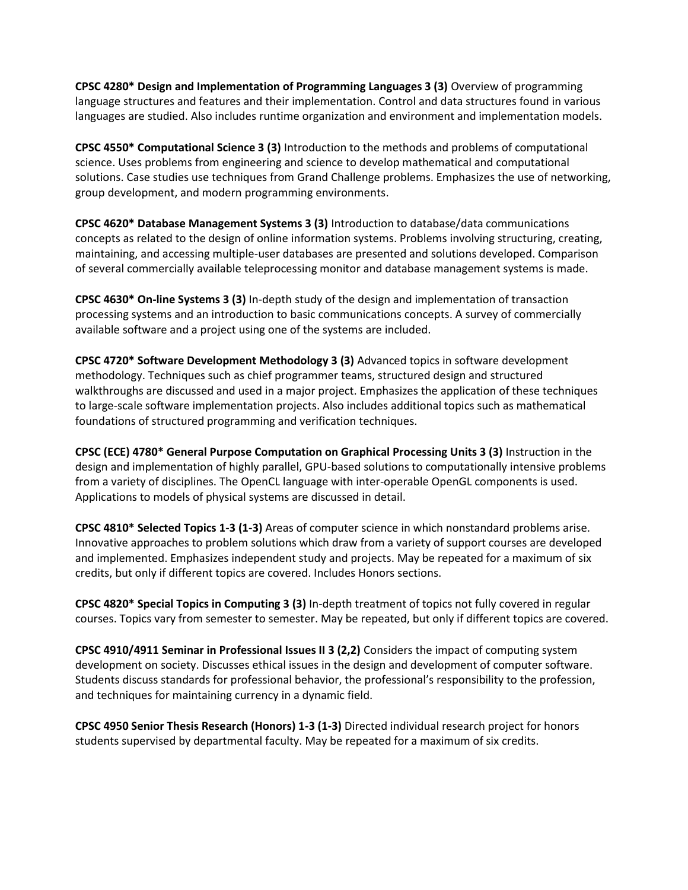**CPSC 4280\* Design and Implementation of Programming Languages 3 (3)** Overview of programming language structures and features and their implementation. Control and data structures found in various languages are studied. Also includes runtime organization and environment and implementation models.

**CPSC 4550\* Computational Science 3 (3)** Introduction to the methods and problems of computational science. Uses problems from engineering and science to develop mathematical and computational solutions. Case studies use techniques from Grand Challenge problems. Emphasizes the use of networking, group development, and modern programming environments.

**CPSC 4620\* Database Management Systems 3 (3)** Introduction to database/data communications concepts as related to the design of online information systems. Problems involving structuring, creating, maintaining, and accessing multiple-user databases are presented and solutions developed. Comparison of several commercially available teleprocessing monitor and database management systems is made.

**CPSC 4630\* On-line Systems 3 (3)** In-depth study of the design and implementation of transaction processing systems and an introduction to basic communications concepts. A survey of commercially available software and a project using one of the systems are included.

**CPSC 4720\* Software Development Methodology 3 (3)** Advanced topics in software development methodology. Techniques such as chief programmer teams, structured design and structured walkthroughs are discussed and used in a major project. Emphasizes the application of these techniques to large-scale software implementation projects. Also includes additional topics such as mathematical foundations of structured programming and verification techniques.

**CPSC (ECE) 4780\* General Purpose Computation on Graphical Processing Units 3 (3)** Instruction in the design and implementation of highly parallel, GPU-based solutions to computationally intensive problems from a variety of disciplines. The OpenCL language with inter-operable OpenGL components is used. Applications to models of physical systems are discussed in detail.

**CPSC 4810\* Selected Topics 1-3 (1-3)** Areas of computer science in which nonstandard problems arise. Innovative approaches to problem solutions which draw from a variety of support courses are developed and implemented. Emphasizes independent study and projects. May be repeated for a maximum of six credits, but only if different topics are covered. Includes Honors sections.

**CPSC 4820\* Special Topics in Computing 3 (3)** In-depth treatment of topics not fully covered in regular courses. Topics vary from semester to semester. May be repeated, but only if different topics are covered.

**CPSC 4910/4911 Seminar in Professional Issues II 3 (2,2)** Considers the impact of computing system development on society. Discusses ethical issues in the design and development of computer software. Students discuss standards for professional behavior, the professional's responsibility to the profession, and techniques for maintaining currency in a dynamic field.

**CPSC 4950 Senior Thesis Research (Honors) 1-3 (1-3)** Directed individual research project for honors students supervised by departmental faculty. May be repeated for a maximum of six credits.